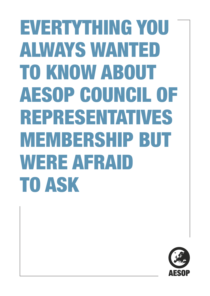## Evertything You Always Wanted **TO KNOW ABOUT** AESOP Council of Representatives Membership But Were Afraid to Ask

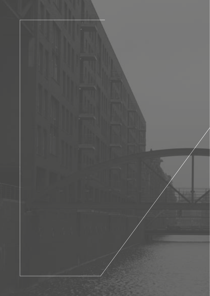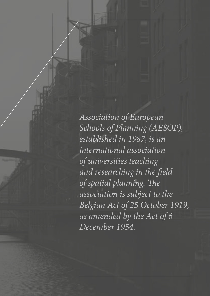*Association of European Schools of Planning (AESOP), established in 1987, is an international association of universities teaching and researching in the field of spatial planning. The association is subject to the Belgian Act of 25 October 1919, as amended by the Act of 6 December 1954.*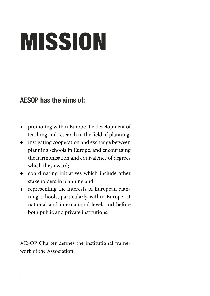## mission

#### AESOP has the aims of:

- + promoting within Europe the development of teaching and research in the field of planning;
- + instigating cooperation and exchange between planning schools in Europe, and encouraging the harmonisation and equivalence of degrees which they award;
- + coordinating initiatives which include other stakeholders in planning and
- + representing the interests of European planning schools, particularly within Europe, at national and international level, and before both public and private institutions.

AESOP Charter defines the institutional framework of the Association.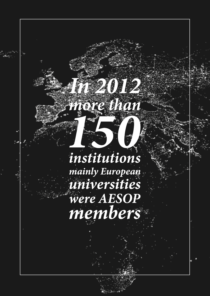*institutions* mainly European universities were AESOP members

2012

rore than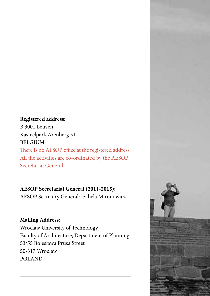**Registered address:**  B 3001 Leuven Kasteelpark Arenberg 51 **BELGIUM** There is no AESOP office at the registered address. All the activities are co-ordinated by the AESOP Secretariat General.

**AESOP Secretariat General (2011-2015):**

AESOP Secretary General: Izabela Mironowicz

**Mailing Address:** Wrocław University of Technology Faculty of Architecture, Department of Planning 53/55 Bolesława Prusa Street 50-317 Wrocław POLAND

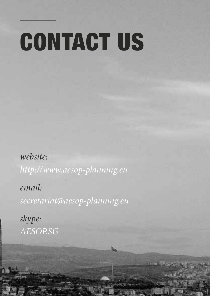# **CONTACT US**

*website: http://www.aesop-planning.eu email:*

*secretariat@aesop-planning.eu*

*skype: AESOP.SG*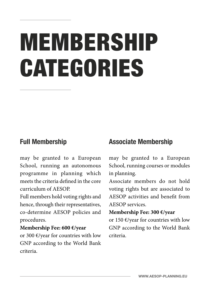## **MEMBERSHIP CATEGORIES**

### Full Membership

may be granted to a European School, running an autonomous programme in planning which meets the criteria defined in the core curriculum of AESOP.

Full members hold voting rights and hence, through their representatives, co-determine AESOP policies and procedures.

#### **Membership Fee: 600 €/year**

or 300 €/year for countries with low GNP according to the World Bank criteria.

### Associate Membership

may be granted to a European School, running courses or modules in planning.

Associate members do not hold voting rights but are associated to AESOP activities and benefit from AESOP services.

#### **Membership Fee: 300 €/year**

or 150 €/year for countries with low GNP according to the World Bank criteria.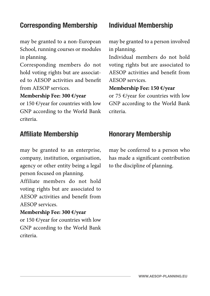#### Corresponding Membership

may be granted to a non-European School, running courses or modules in planning.

Corresponding members do not hold voting rights but are associated to AESOP activities and benefit from AESOP services.

#### **Membership Fee: 300 €/year**

or 150 €/year for countries with low GNP according to the World Bank criteria.

#### Affiliate Membership

may be granted to an enterprise, company, institution, organisation, agency or other entity being a legal person focused on planning.

Affiliate members do not hold voting rights but are associated to AESOP activities and benefit from AESOP services.

#### **Membership Fee: 300 €/year**

or 150 €/year for countries with low GNP according to the World Bank criteria.

#### Individual Membership

may be granted to a person involved in planning.

Individual members do not hold voting rights but are associated to AESOP activities and benefit from AESOP services.

#### **Membership Fee: 150 €/year**

or 75 €/year for countries with low GNP according to the World Bank criteria.

#### Honorary Membership

may be conferred to a person who has made a significant contribution to the discipline of planning.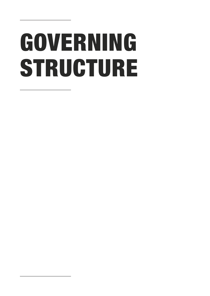## **GOVERNING STRUCTURE**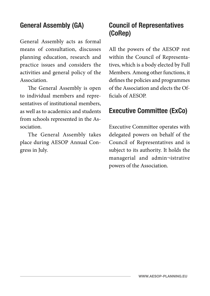### General Assembly (GA)

General Assembly acts as formal means of consultation, discusses planning education, research and practice issues and considers the activities and general policy of the Association.

The General Assembly is open to individual members and representatives of institutional members, as well as to academics and students from schools represented in the Association.

The General Assembly takes place during AESOP Annual Congress in July.

### Council of Representatives (CoRep)

All the powers of the AESOP rest within the Council of Representatives, which is a body elected by Full Members. Among other functions, it defines the policies and programmes of the Association and elects the Officials of AESOP.

### Executive Committee (ExCo)

Executive Committee operates with delegated powers on behalf of the Council of Representatives and is subject to its authority. It holds the managerial and admin¬istrative powers of the Association.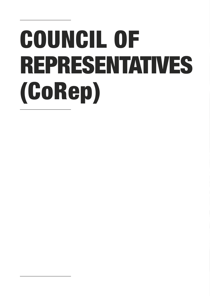# Council of Representatives (CoRep)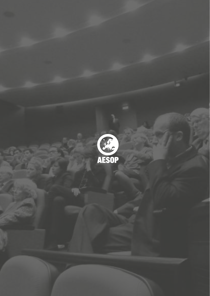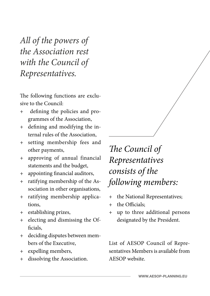*All of the powers of the Association rest with the Council of Representatives.*

The following functions are exclusive to the Council:

- + defining the policies and programmes of the Association,
- + defining and modifying the internal rules of the Association,
- + setting membership fees and other payments,
- + approving of annual financial statements and the budget,
- + appointing financial auditors,
- + ratifying membership of the Association in other organisations,
- + ratifying membership applications,
- + establishing prizes,
- + electing and dismissing the Officials,
- + deciding disputes between members of the Executive,
- + expelling members,
- + dissolving the Association.

*The Council of Representatives consists of the following members:* 

- + the National Representatives;
- $+$  the Officials:
- + up to three additional persons designated by the President.

List of AESOP Council of Representatives Members is available from AESOP website.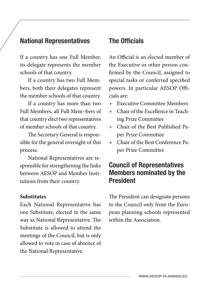### National Representatives

If a country has one Full Member, its delegate represents the member schools of that country.

If a country has two Full Members, both their delegates represent the member schools of that country.

If a country has more than two Full Members, all Full Mem¬bers of that country elect two representatives of member schools of that country.

The Secretary General is responsible for the general oversight of this process.

National Representatives are responsible for strengthening the links between AESOP and Member Institutions from their country.

#### **Substitutes**

Each National Representative has one Substitute, elected in the same way as National Representative. The Substitute is allowed to attend the meetings of the Council, but is only allowed to vote in case of absence of the National Representative.

### The Officials

An Official is an elected member of the Executive or other person confirmed by the Council, assigned to special tasks or conferred specified powers. In particular AESOP Officials are:

- + Executive Committee Members
- + Chair of the Excellence in Teaching Prize Committee
- + Chair of the Best Published Paper Prize Committee
- + Chair of the Best Conference Paper Prize Committee

#### Council of Representatives Members nominated by the **President**

The President can designate persons to the Council only from the European planning schools represented within the Association.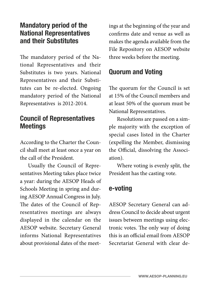#### Mandatory period of the National Representatives and their Substitutes

The mandatory period of the National Representatives and their Substitutes is two years. National Representatives and their Substitutes can be re-elected. Ongoing mandatory period of the National Representatives is 2012-2014.

#### Council of Representatives Meetings

According to the Charter the Council shall meet at least once a year on the call of the President.

Usually the Council of Representatives Meeting takes place twice a year: during the AESOP Heads of Schools Meeting in spring and during AESOP Annual Congress in July. The dates of the Council of Representatives meetings are always displayed in the calendar on the AESOP website. Secretary General informs National Representatives about provisional dates of the meetings at the beginning of the year and confirms date and venue as well as makes the agenda available from the File Repository on AESOP website three weeks before the meeting.

#### Quorum and Voting

The quorum for the Council is set at 15% of the Council members and at least 50% of the quorum must be National Representatives.

Resolutions are passed on a simple majority with the exception of special cases listed in the Charter (expelling the Member, dismissing the Official, dissolving the Association).

Where voting is evenly split, the President has the casting vote.

### e-voting

AESOP Secretary General can address Council to decide about urgent issues between meetings using electronic votes. The only way of doing this is an official email from AESOP Secretariat General with clear de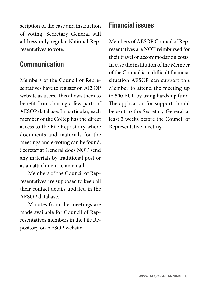scription of the case and instruction of voting. Secretary General will address only regular National Representatives to vote.

#### Communication

Members of the Council of Representatives have to register on AESOP website as users. This allows them to benefit from sharing a few parts of AESOP database. In particular, each member of the CoRep has the direct access to the File Repository where documents and materials for the meetings and e-voting can be found. Secretariat General does NOT send any materials by traditional post or as an attachment to an email.

Members of the Council of Representatives are supposed to keep all their contact details updated in the AESOP database.

Minutes from the meetings are made available for Council of Representatives members in the File Repository on AESOP website.

#### Financial issues

Members of AESOP Council of Representatives are NOT reimbursed for their travel or accommodation costs. In case the institution of the Member of the Council is in difficult financial situation AESOP can support this Member to attend the meeting up to 500 EUR by using hardship fund. The application for support should be sent to the Secretary General at least 3 weeks before the Council of Representative meeting.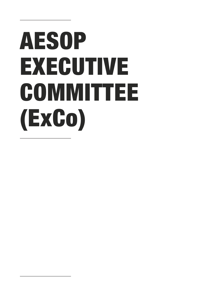# AESOP **EXECUTIVE COMMITTEE** (ExCo)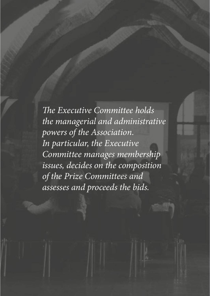*The Executive Committee holds the managerial and administrative powers of the Association. In particular, the Executive Committee manages membership issues, decides on the composition of the Prize Committees and assesses and proceeds the bids.*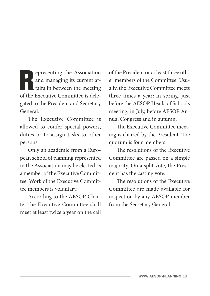Presenting the Association<br>and managing its current af-<br>fairs in between the meeting and managing its current affairs in between the meeting of the Executive Committee is delegated to the President and Secretary General.

The Executive Committee is allowed to confer special powers, duties or to assign tasks to other persons.

Only an academic from a European school of planning represented in the Association may be elected as a member of the Executive Committee. Work of the Executive Committee members is voluntary.

According to the AESOP Charter the Executive Committee shall meet at least twice a year on the call of the President or at least three other members of the Committee. Usually, the Executive Committee meets three times a year: in spring, just before the AESOP Heads of Schools meeting, in July, before AESOP Annual Congress and in autumn.

The Executive Committee meeting is chaired by the President. The quorum is four members.

The resolutions of the Executive Committee are passed on a simple majority. On a split vote, the President has the casting vote.

The resolutions of the Executive Committee are made available for inspection by any AESOP member from the Secretary General.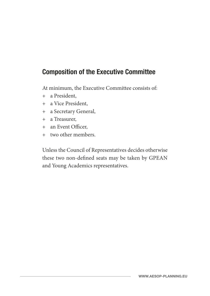## Composition of the Executive Committee

At minimum, the Executive Committee consists of:

- + a President,
- + a Vice President,
- + a Secretary General,
- + a Treasurer,
- + an Event Officer,
- + two other members.

Unless the Council of Representatives decides otherwise these two non-defined seats may be taken by GPEAN and Young Academics representatives.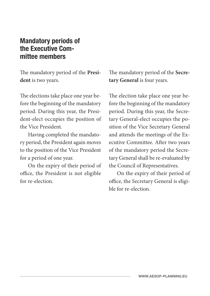#### Mandatory periods of the Executive Committee members

The mandatory period of the **President** is two years.

The elections take place one year before the beginning of the mandatory period. During this year, the President-elect occupies the position of the Vice President.

Having completed the mandatory period, the President again moves to the position of the Vice President for a period of one year.

On the expiry of their period of office, the President is not eligible for re-election.

The mandatory period of the **Secretary General** is four years.

The election take place one year before the beginning of the mandatory period. During this year, the Secretary General-elect occupies the position of the Vice Secretary General and attends the meetings of the Executive Committee. After two years of the mandatory period the Secretary General shall be re-evaluated by the Council of Representatives.

On the expiry of their period of office, the Secretary General is eligible for re-election.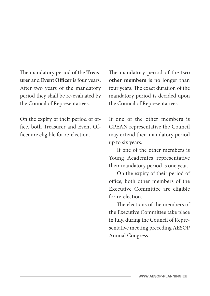The mandatory period of the **Treasurer** and **Event Officer** is four years. After two years of the mandatory period they shall be re-evaluated by the Council of Representatives.

On the expiry of their period of office, both Treasurer and Event Officer are eligible for re-election.

The mandatory period of the **two other members** is no longer than four years. The exact duration of the mandatory period is decided upon the Council of Representatives.

If one of the other members is GPEAN representative the Council may extend their mandatory period up to six years.

If one of the other members is Young Academics representative their mandatory period is one year.

On the expiry of their period of office, both other members of the Executive Committee are eligible for re-election.

The elections of the members of the Executive Committee take place in July, during the Council of Representative meeting preceding AESOP Annual Congress.